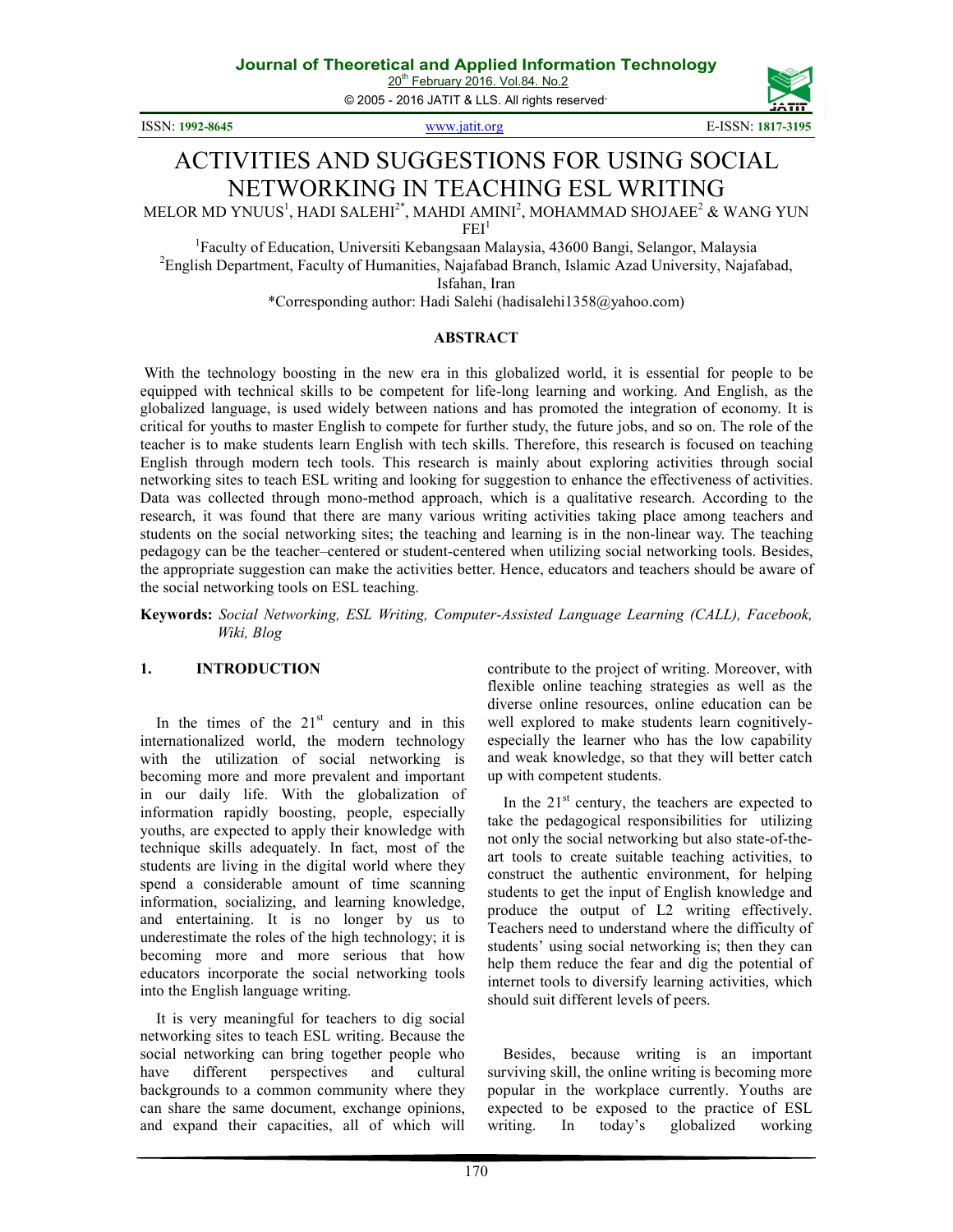20<sup>th</sup> February 2016. Vol.84. No.2

© 2005 - 2016 JATIT & LLS. All rights reserved.

ISSN: **1992-8645** www.jatit.org E-ISSN: **1817-3195** 



# ACTIVITIES AND SUGGESTIONS FOR USING SOCIAL

## NETWORKING IN TEACHING ESL WRITING

MELOR MD YNUUS $^1$ , HADI SALEHI $^{2^\ast}$ , MAHDI AMINI $^2$ , MOHAMMAD SHOJAEE $^2$  & WANG YUN

 $FEI<sup>1</sup>$ 

<sup>1</sup>Faculty of Education, Universiti Kebangsaan Malaysia, 43600 Bangi, Selangor, Malaysia <sup>2</sup>English Department, Faculty of Humanities, Najafabad Branch, Islamic Azad University, Najafabad, Isfahan, Iran

\*Corresponding author: Hadi Salehi (hadisalehi1358@yahoo.com)

### **ABSTRACT**

With the technology boosting in the new era in this globalized world, it is essential for people to be equipped with technical skills to be competent for life-long learning and working. And English, as the globalized language, is used widely between nations and has promoted the integration of economy. It is critical for youths to master English to compete for further study, the future jobs, and so on. The role of the teacher is to make students learn English with tech skills. Therefore, this research is focused on teaching English through modern tech tools. This research is mainly about exploring activities through social networking sites to teach ESL writing and looking for suggestion to enhance the effectiveness of activities. Data was collected through mono-method approach, which is a qualitative research. According to the research, it was found that there are many various writing activities taking place among teachers and students on the social networking sites; the teaching and learning is in the non-linear way. The teaching pedagogy can be the teacher–centered or student-centered when utilizing social networking tools. Besides, the appropriate suggestion can make the activities better. Hence, educators and teachers should be aware of the social networking tools on ESL teaching.

**Keywords:** *Social Networking, ESL Writing, Computer-Assisted Language Learning (CALL), Facebook, Wiki, Blog*

#### **1. INTRODUCTION**

In the times of the  $21<sup>st</sup>$  century and in this internationalized world, the modern technology with the utilization of social networking is becoming more and more prevalent and important in our daily life. With the globalization of information rapidly boosting, people, especially youths, are expected to apply their knowledge with technique skills adequately. In fact, most of the students are living in the digital world where they spend a considerable amount of time scanning information, socializing, and learning knowledge, and entertaining. It is no longer by us to underestimate the roles of the high technology; it is becoming more and more serious that how educators incorporate the social networking tools into the English language writing.

It is very meaningful for teachers to dig social networking sites to teach ESL writing. Because the social networking can bring together people who have different perspectives and cultural backgrounds to a common community where they can share the same document, exchange opinions, and expand their capacities, all of which will contribute to the project of writing. Moreover, with flexible online teaching strategies as well as the diverse online resources, online education can be well explored to make students learn cognitivelyespecially the learner who has the low capability and weak knowledge, so that they will better catch up with competent students.

In the  $21<sup>st</sup>$  century, the teachers are expected to take the pedagogical responsibilities for utilizing not only the social networking but also state-of-theart tools to create suitable teaching activities, to construct the authentic environment, for helping students to get the input of English knowledge and produce the output of L2 writing effectively. Teachers need to understand where the difficulty of students' using social networking is; then they can help them reduce the fear and dig the potential of internet tools to diversify learning activities, which should suit different levels of peers.

Besides, because writing is an important surviving skill, the online writing is becoming more popular in the workplace currently. Youths are expected to be exposed to the practice of ESL writing. In today's globalized working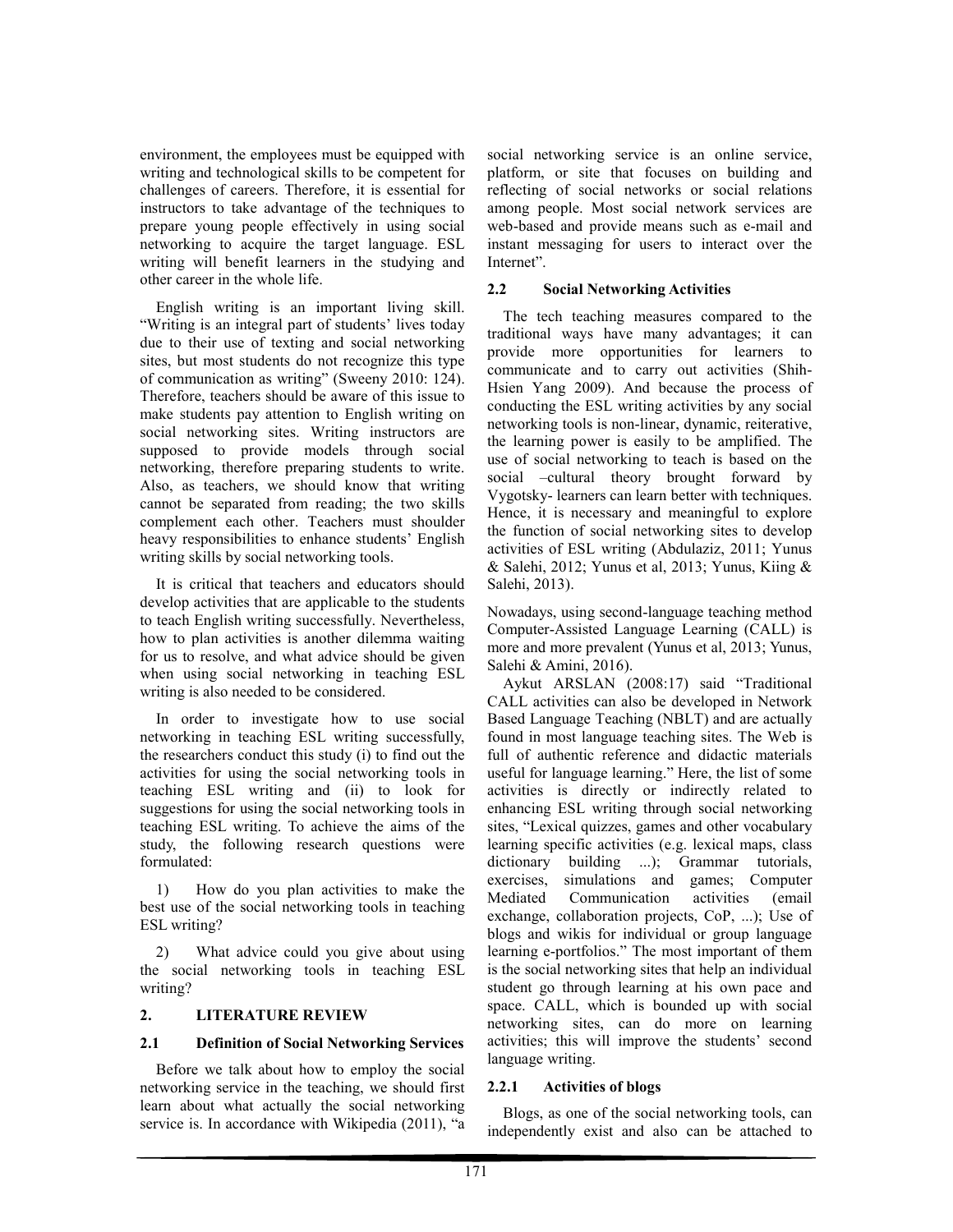environment, the employees must be equipped with writing and technological skills to be competent for challenges of careers. Therefore, it is essential for instructors to take advantage of the techniques to prepare young people effectively in using social networking to acquire the target language. ESL writing will benefit learners in the studying and other career in the whole life.

English writing is an important living skill. "Writing is an integral part of students' lives today due to their use of texting and social networking sites, but most students do not recognize this type of communication as writing" (Sweeny 2010: 124). Therefore, teachers should be aware of this issue to make students pay attention to English writing on social networking sites. Writing instructors are supposed to provide models through social networking, therefore preparing students to write. Also, as teachers, we should know that writing cannot be separated from reading; the two skills complement each other. Teachers must shoulder heavy responsibilities to enhance students' English writing skills by social networking tools.

It is critical that teachers and educators should develop activities that are applicable to the students to teach English writing successfully. Nevertheless, how to plan activities is another dilemma waiting for us to resolve, and what advice should be given when using social networking in teaching ESL writing is also needed to be considered.

In order to investigate how to use social networking in teaching ESL writing successfully, the researchers conduct this study (i) to find out the activities for using the social networking tools in teaching ESL writing and (ii) to look for suggestions for using the social networking tools in teaching ESL writing. To achieve the aims of the study, the following research questions were formulated:

1) How do you plan activities to make the best use of the social networking tools in teaching ESL writing?

2) What advice could you give about using the social networking tools in teaching ESL writing?

#### **2. LITERATURE REVIEW**

#### **2.1 Definition of Social Networking Services**

Before we talk about how to employ the social networking service in the teaching, we should first learn about what actually the social networking service is. In accordance with Wikipedia (2011), "a social networking service is an online service, platform, or site that focuses on building and reflecting of social networks or social relations among people. Most social network services are web-based and provide means such as e-mail and instant messaging for users to interact over the Internet".

#### **2.2 Social Networking Activities**

The tech teaching measures compared to the traditional ways have many advantages; it can provide more opportunities for learners to communicate and to carry out activities (Shih-Hsien Yang 2009). And because the process of conducting the ESL writing activities by any social networking tools is non-linear, dynamic, reiterative, the learning power is easily to be amplified. The use of social networking to teach is based on the social –cultural theory brought forward by Vygotsky- learners can learn better with techniques. Hence, it is necessary and meaningful to explore the function of social networking sites to develop activities of ESL writing (Abdulaziz, 2011; Yunus & Salehi, 2012; Yunus et al, 2013; Yunus, Kiing & Salehi, 2013).

Nowadays, using second-language teaching method Computer-Assisted Language Learning (CALL) is more and more prevalent (Yunus et al, 2013; Yunus, Salehi & Amini, 2016).

Aykut ARSLAN (2008:17) said "Traditional CALL activities can also be developed in Network Based Language Teaching (NBLT) and are actually found in most language teaching sites. The Web is full of authentic reference and didactic materials useful for language learning." Here, the list of some activities is directly or indirectly related to enhancing ESL writing through social networking sites, "Lexical quizzes, games and other vocabulary learning specific activities (e.g. lexical maps, class dictionary building ...); Grammar tutorials, exercises, simulations and games; Computer Mediated Communication activities (email exchange, collaboration projects, CoP, ...); Use of blogs and wikis for individual or group language learning e-portfolios." The most important of them is the social networking sites that help an individual student go through learning at his own pace and space. CALL, which is bounded up with social networking sites, can do more on learning activities; this will improve the students' second language writing.

### **2.2.1 Activities of blogs**

Blogs, as one of the social networking tools, can independently exist and also can be attached to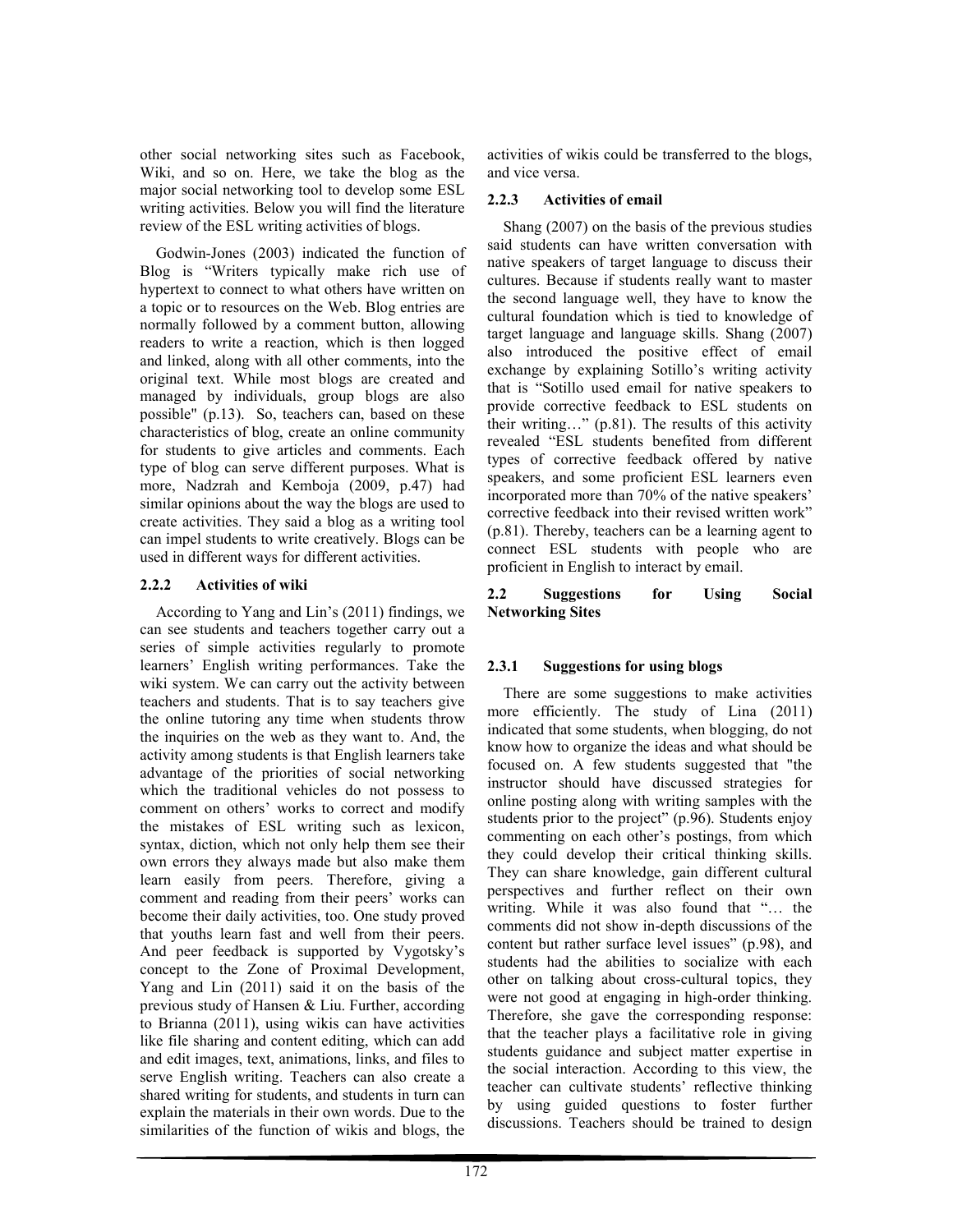other social networking sites such as Facebook, Wiki, and so on. Here, we take the blog as the major social networking tool to develop some ESL writing activities. Below you will find the literature review of the ESL writing activities of blogs.

Godwin-Jones (2003) indicated the function of Blog is "Writers typically make rich use of hypertext to connect to what others have written on a topic or to resources on the Web. Blog entries are normally followed by a comment button, allowing readers to write a reaction, which is then logged and linked, along with all other comments, into the original text. While most blogs are created and managed by individuals, group blogs are also possible" (p.13). So, teachers can, based on these characteristics of blog, create an online community for students to give articles and comments. Each type of blog can serve different purposes. What is more, Nadzrah and Kemboja (2009, p.47) had similar opinions about the way the blogs are used to create activities. They said a blog as a writing tool can impel students to write creatively. Blogs can be used in different ways for different activities.

### **2.2.2 Activities of wiki**

According to Yang and Lin's (2011) findings, we can see students and teachers together carry out a series of simple activities regularly to promote learners' English writing performances. Take the wiki system. We can carry out the activity between teachers and students. That is to say teachers give the online tutoring any time when students throw the inquiries on the web as they want to. And, the activity among students is that English learners take advantage of the priorities of social networking which the traditional vehicles do not possess to comment on others' works to correct and modify the mistakes of ESL writing such as lexicon, syntax, diction, which not only help them see their own errors they always made but also make them learn easily from peers. Therefore, giving a comment and reading from their peers' works can become their daily activities, too. One study proved that youths learn fast and well from their peers. And peer feedback is supported by Vygotsky's concept to the Zone of Proximal Development, Yang and Lin (2011) said it on the basis of the previous study of Hansen & Liu. Further, according to Brianna (2011), using wikis can have activities like file sharing and content editing, which can add and edit images, text, animations, links, and files to serve English writing. Teachers can also create a shared writing for students, and students in turn can explain the materials in their own words. Due to the similarities of the function of wikis and blogs, the

activities of wikis could be transferred to the blogs, and vice versa.

## **2.2.3 Activities of email**

Shang (2007) on the basis of the previous studies said students can have written conversation with native speakers of target language to discuss their cultures. Because if students really want to master the second language well, they have to know the cultural foundation which is tied to knowledge of target language and language skills. Shang (2007) also introduced the positive effect of email exchange by explaining Sotillo's writing activity that is "Sotillo used email for native speakers to provide corrective feedback to ESL students on their writing…" (p.81). The results of this activity revealed "ESL students benefited from different types of corrective feedback offered by native speakers, and some proficient ESL learners even incorporated more than 70% of the native speakers' corrective feedback into their revised written work" (p.81). Thereby, teachers can be a learning agent to connect ESL students with people who are proficient in English to interact by email.

#### **2.2 Suggestions for Using Social Networking Sites**

## **2.3.1 Suggestions for using blogs**

There are some suggestions to make activities more efficiently. The study of Lina (2011) indicated that some students, when blogging, do not know how to organize the ideas and what should be focused on. A few students suggested that "the instructor should have discussed strategies for online posting along with writing samples with the students prior to the project" (p.96). Students enjoy commenting on each other's postings, from which they could develop their critical thinking skills. They can share knowledge, gain different cultural perspectives and further reflect on their own writing. While it was also found that "… the comments did not show in-depth discussions of the content but rather surface level issues" (p.98), and students had the abilities to socialize with each other on talking about cross-cultural topics, they were not good at engaging in high-order thinking. Therefore, she gave the corresponding response: that the teacher plays a facilitative role in giving students guidance and subject matter expertise in the social interaction. According to this view, the teacher can cultivate students' reflective thinking by using guided questions to foster further discussions. Teachers should be trained to design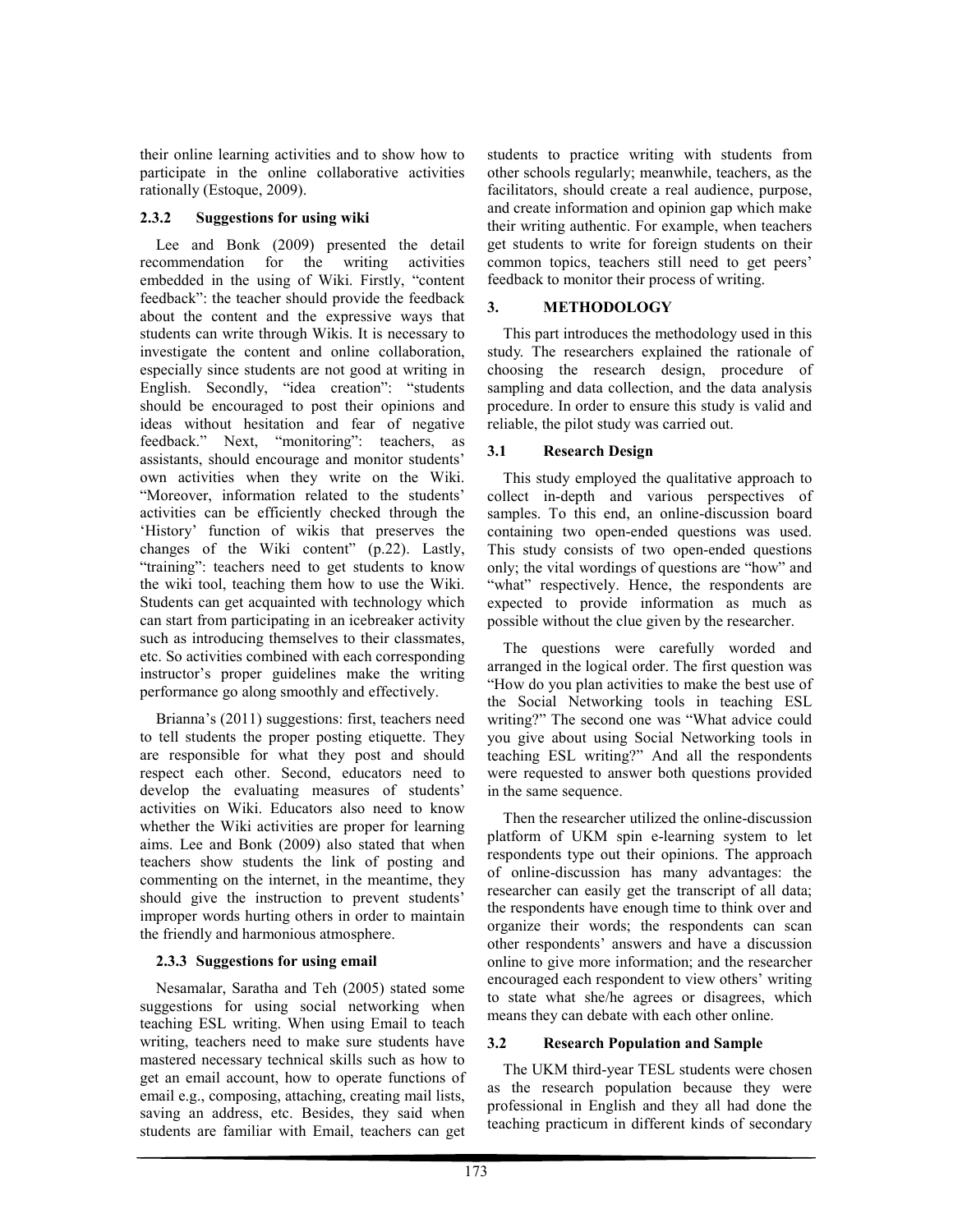their online learning activities and to show how to participate in the online collaborative activities rationally (Estoque, 2009).

## **2.3.2 Suggestions for using wiki**

Lee and Bonk (2009) presented the detail recommendation for the writing activities embedded in the using of Wiki. Firstly, "content feedback": the teacher should provide the feedback about the content and the expressive ways that students can write through Wikis. It is necessary to investigate the content and online collaboration, especially since students are not good at writing in English. Secondly, "idea creation": "students should be encouraged to post their opinions and ideas without hesitation and fear of negative feedback." Next, "monitoring": teachers, as assistants, should encourage and monitor students' own activities when they write on the Wiki. "Moreover, information related to the students' activities can be efficiently checked through the 'History' function of wikis that preserves the changes of the Wiki content" (p.22). Lastly, "training": teachers need to get students to know the wiki tool, teaching them how to use the Wiki. Students can get acquainted with technology which can start from participating in an icebreaker activity such as introducing themselves to their classmates, etc. So activities combined with each corresponding instructor's proper guidelines make the writing performance go along smoothly and effectively.

Brianna's (2011) suggestions: first, teachers need to tell students the proper posting etiquette. They are responsible for what they post and should respect each other. Second, educators need to develop the evaluating measures of students' activities on Wiki. Educators also need to know whether the Wiki activities are proper for learning aims. Lee and Bonk (2009) also stated that when teachers show students the link of posting and commenting on the internet, in the meantime, they should give the instruction to prevent students' improper words hurting others in order to maintain the friendly and harmonious atmosphere.

## **2.3.3 Suggestions for using email**

Nesamalar, Saratha and Teh (2005) stated some suggestions for using social networking when teaching ESL writing. When using Email to teach writing, teachers need to make sure students have mastered necessary technical skills such as how to get an email account, how to operate functions of email e.g., composing, attaching, creating mail lists, saving an address, etc. Besides, they said when students are familiar with Email, teachers can get students to practice writing with students from other schools regularly; meanwhile, teachers, as the facilitators, should create a real audience, purpose, and create information and opinion gap which make their writing authentic. For example, when teachers get students to write for foreign students on their common topics, teachers still need to get peers' feedback to monitor their process of writing.

## **3. METHODOLOGY**

This part introduces the methodology used in this study. The researchers explained the rationale of choosing the research design, procedure of sampling and data collection, and the data analysis procedure. In order to ensure this study is valid and reliable, the pilot study was carried out.

## **3.1 Research Design**

This study employed the qualitative approach to collect in-depth and various perspectives of samples. To this end, an online-discussion board containing two open-ended questions was used. This study consists of two open-ended questions only; the vital wordings of questions are "how" and "what" respectively. Hence, the respondents are expected to provide information as much as possible without the clue given by the researcher.

The questions were carefully worded and arranged in the logical order. The first question was "How do you plan activities to make the best use of the Social Networking tools in teaching ESL writing?" The second one was "What advice could you give about using Social Networking tools in teaching ESL writing?" And all the respondents were requested to answer both questions provided in the same sequence.

Then the researcher utilized the online-discussion platform of UKM spin e-learning system to let respondents type out their opinions. The approach of online-discussion has many advantages: the researcher can easily get the transcript of all data; the respondents have enough time to think over and organize their words; the respondents can scan other respondents' answers and have a discussion online to give more information; and the researcher encouraged each respondent to view others' writing to state what she/he agrees or disagrees, which means they can debate with each other online.

## **3.2 Research Population and Sample**

The UKM third-year TESL students were chosen as the research population because they were professional in English and they all had done the teaching practicum in different kinds of secondary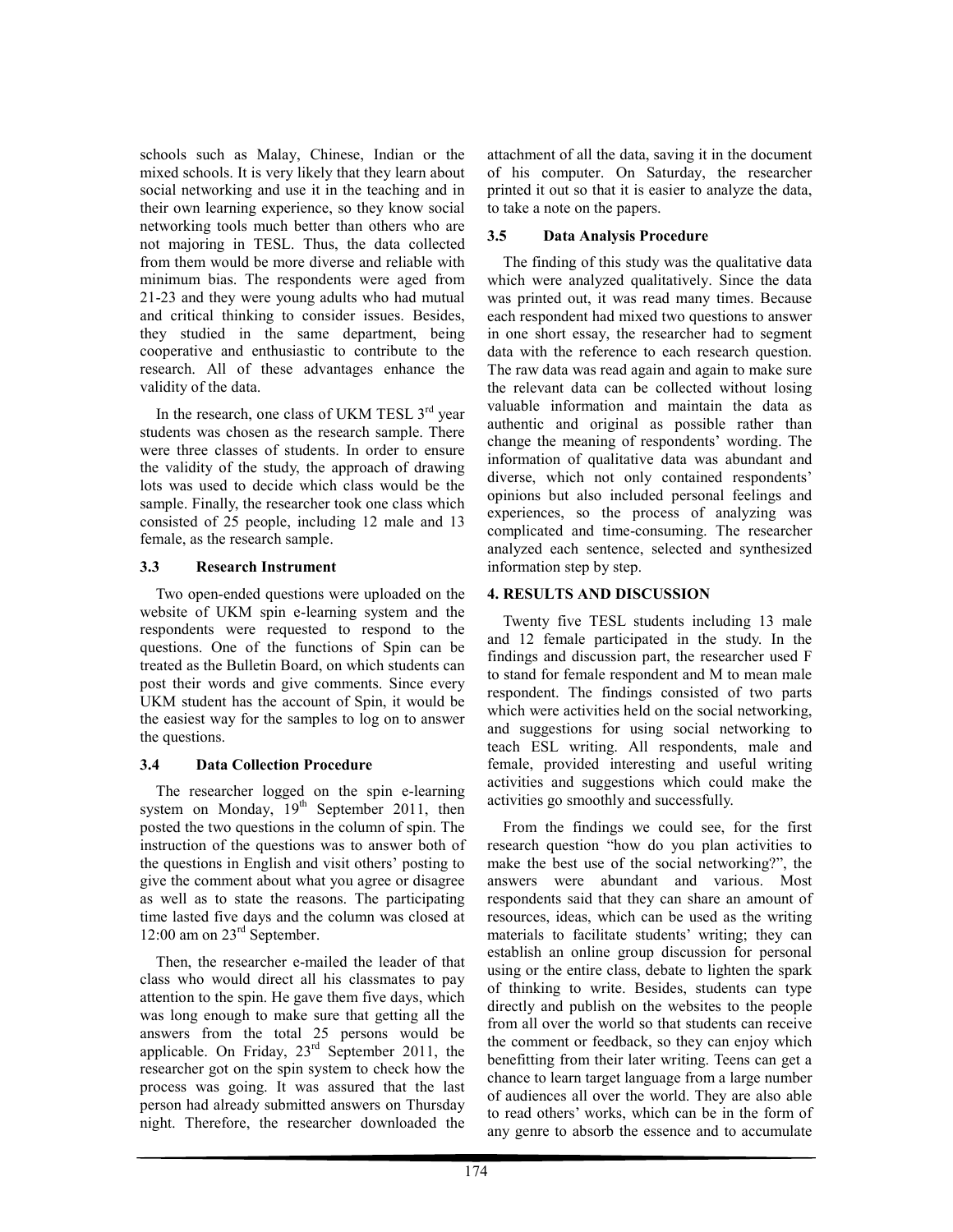schools such as Malay, Chinese, Indian or the mixed schools. It is very likely that they learn about social networking and use it in the teaching and in their own learning experience, so they know social networking tools much better than others who are not majoring in TESL. Thus, the data collected from them would be more diverse and reliable with minimum bias. The respondents were aged from 21-23 and they were young adults who had mutual and critical thinking to consider issues. Besides, they studied in the same department, being cooperative and enthusiastic to contribute to the research. All of these advantages enhance the validity of the data.

In the research, one class of UKM TESL  $3^{rd}$  year students was chosen as the research sample. There were three classes of students. In order to ensure the validity of the study, the approach of drawing lots was used to decide which class would be the sample. Finally, the researcher took one class which consisted of 25 people, including 12 male and 13 female, as the research sample.

#### **3.3 Research Instrument**

Two open-ended questions were uploaded on the website of UKM spin e-learning system and the respondents were requested to respond to the questions. One of the functions of Spin can be treated as the Bulletin Board, on which students can post their words and give comments. Since every UKM student has the account of Spin, it would be the easiest way for the samples to log on to answer the questions.

### **3.4 Data Collection Procedure**

The researcher logged on the spin e-learning system on Monday,  $19<sup>th</sup>$  September 2011, then posted the two questions in the column of spin. The instruction of the questions was to answer both of the questions in English and visit others' posting to give the comment about what you agree or disagree as well as to state the reasons. The participating time lasted five days and the column was closed at 12:00 am on 23<sup>rd</sup> September.

Then, the researcher e-mailed the leader of that class who would direct all his classmates to pay attention to the spin. He gave them five days, which was long enough to make sure that getting all the answers from the total 25 persons would be applicable. On Friday,  $23<sup>rd</sup>$  September 2011, the researcher got on the spin system to check how the process was going. It was assured that the last person had already submitted answers on Thursday night. Therefore, the researcher downloaded the attachment of all the data, saving it in the document of his computer. On Saturday, the researcher printed it out so that it is easier to analyze the data, to take a note on the papers.

## **3.5 Data Analysis Procedure**

The finding of this study was the qualitative data which were analyzed qualitatively. Since the data was printed out, it was read many times. Because each respondent had mixed two questions to answer in one short essay, the researcher had to segment data with the reference to each research question. The raw data was read again and again to make sure the relevant data can be collected without losing valuable information and maintain the data as authentic and original as possible rather than change the meaning of respondents' wording. The information of qualitative data was abundant and diverse, which not only contained respondents' opinions but also included personal feelings and experiences, so the process of analyzing was complicated and time-consuming. The researcher analyzed each sentence, selected and synthesized information step by step.

## **4. RESULTS AND DISCUSSION**

Twenty five TESL students including 13 male and 12 female participated in the study. In the findings and discussion part, the researcher used F to stand for female respondent and M to mean male respondent. The findings consisted of two parts which were activities held on the social networking, and suggestions for using social networking to teach ESL writing. All respondents, male and female, provided interesting and useful writing activities and suggestions which could make the activities go smoothly and successfully.

From the findings we could see, for the first research question "how do you plan activities to make the best use of the social networking?", the answers were abundant and various. Most respondents said that they can share an amount of resources, ideas, which can be used as the writing materials to facilitate students' writing; they can establish an online group discussion for personal using or the entire class, debate to lighten the spark of thinking to write. Besides, students can type directly and publish on the websites to the people from all over the world so that students can receive the comment or feedback, so they can enjoy which benefitting from their later writing. Teens can get a chance to learn target language from a large number of audiences all over the world. They are also able to read others' works, which can be in the form of any genre to absorb the essence and to accumulate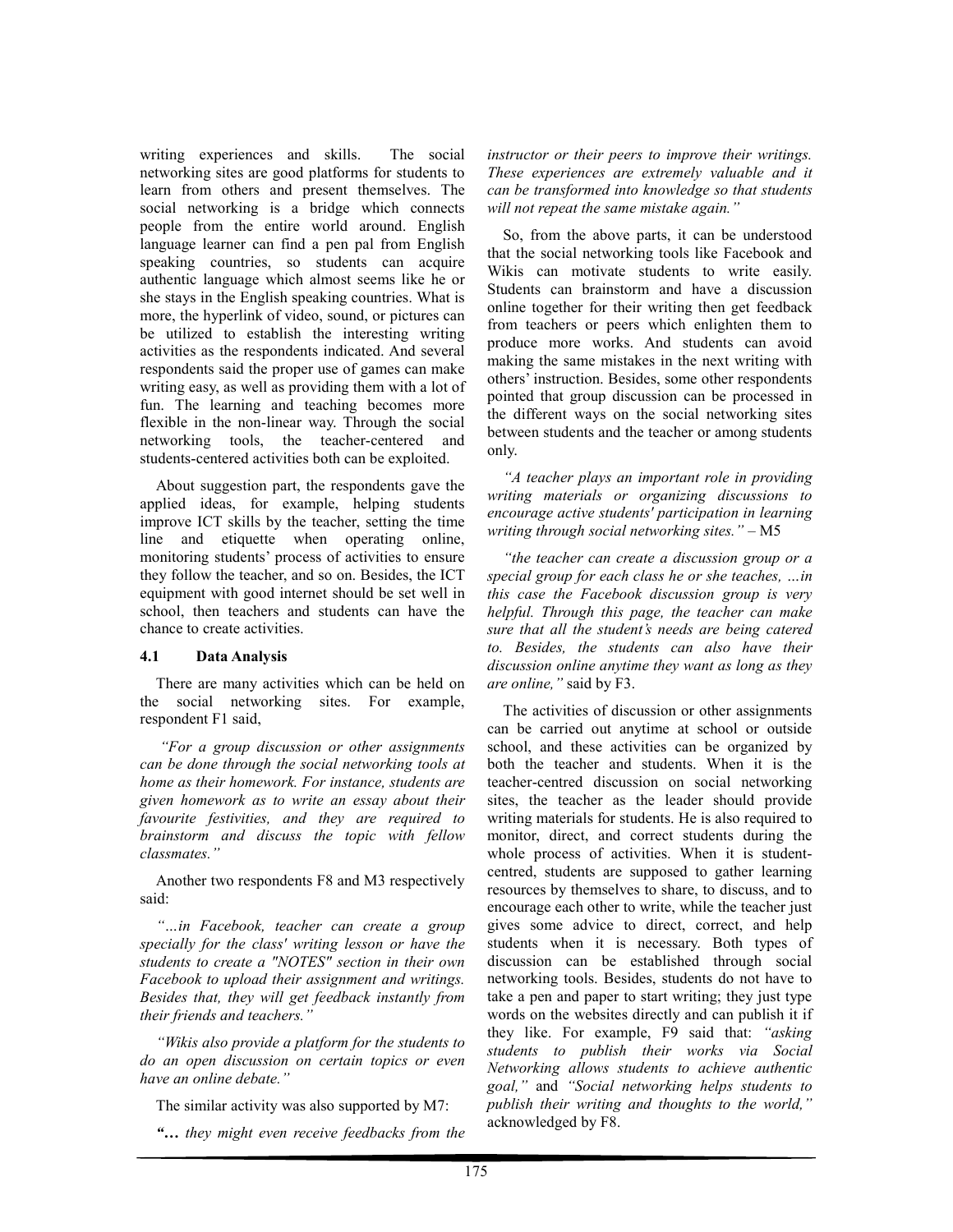writing experiences and skills. The social networking sites are good platforms for students to learn from others and present themselves. The social networking is a bridge which connects people from the entire world around. English language learner can find a pen pal from English speaking countries, so students can acquire authentic language which almost seems like he or she stays in the English speaking countries. What is more, the hyperlink of video, sound, or pictures can be utilized to establish the interesting writing activities as the respondents indicated. And several respondents said the proper use of games can make writing easy, as well as providing them with a lot of fun. The learning and teaching becomes more flexible in the non-linear way. Through the social networking tools, the teacher-centered and students-centered activities both can be exploited.

About suggestion part, the respondents gave the applied ideas, for example, helping students improve ICT skills by the teacher, setting the time line and etiquette when operating online, monitoring students' process of activities to ensure they follow the teacher, and so on. Besides, the ICT equipment with good internet should be set well in school, then teachers and students can have the chance to create activities.

#### **4.1 Data Analysis**

There are many activities which can be held on the social networking sites. For example, respondent F1 said,

 *"For a group discussion or other assignments can be done through the social networking tools at home as their homework. For instance, students are given homework as to write an essay about their favourite festivities, and they are required to brainstorm and discuss the topic with fellow classmates."* 

Another two respondents F8 and M3 respectively said:

*"…in Facebook, teacher can create a group specially for the class' writing lesson or have the students to create a "NOTES" section in their own Facebook to upload their assignment and writings. Besides that, they will get feedback instantly from their friends and teachers."* 

*"Wikis also provide a platform for the students to do an open discussion on certain topics or even have an online debate."* 

The similar activity was also supported by M7:

*"… they might even receive feedbacks from the* 

*instructor or their peers to improve their writings. These experiences are extremely valuable and it can be transformed into knowledge so that students will not repeat the same mistake again."* 

So, from the above parts, it can be understood that the social networking tools like Facebook and Wikis can motivate students to write easily. Students can brainstorm and have a discussion online together for their writing then get feedback from teachers or peers which enlighten them to produce more works. And students can avoid making the same mistakes in the next writing with others' instruction. Besides, some other respondents pointed that group discussion can be processed in the different ways on the social networking sites between students and the teacher or among students only.

*"A teacher plays an important role in providing writing materials or organizing discussions to encourage active students' participation in learning writing through social networking sites."* – M5

*"the teacher can create a discussion group or a special group for each class he or she teaches, …in this case the Facebook discussion group is very helpful. Through this page, the teacher can make sure that all the student's needs are being catered to. Besides, the students can also have their discussion online anytime they want as long as they are online,"* said by F3.

The activities of discussion or other assignments can be carried out anytime at school or outside school, and these activities can be organized by both the teacher and students. When it is the teacher-centred discussion on social networking sites, the teacher as the leader should provide writing materials for students. He is also required to monitor, direct, and correct students during the whole process of activities. When it is studentcentred, students are supposed to gather learning resources by themselves to share, to discuss, and to encourage each other to write, while the teacher just gives some advice to direct, correct, and help students when it is necessary. Both types of discussion can be established through social networking tools. Besides, students do not have to take a pen and paper to start writing; they just type words on the websites directly and can publish it if they like. For example, F9 said that: *"asking students to publish their works via Social Networking allows students to achieve authentic goal,"* and *"Social networking helps students to publish their writing and thoughts to the world,"* acknowledged by F8.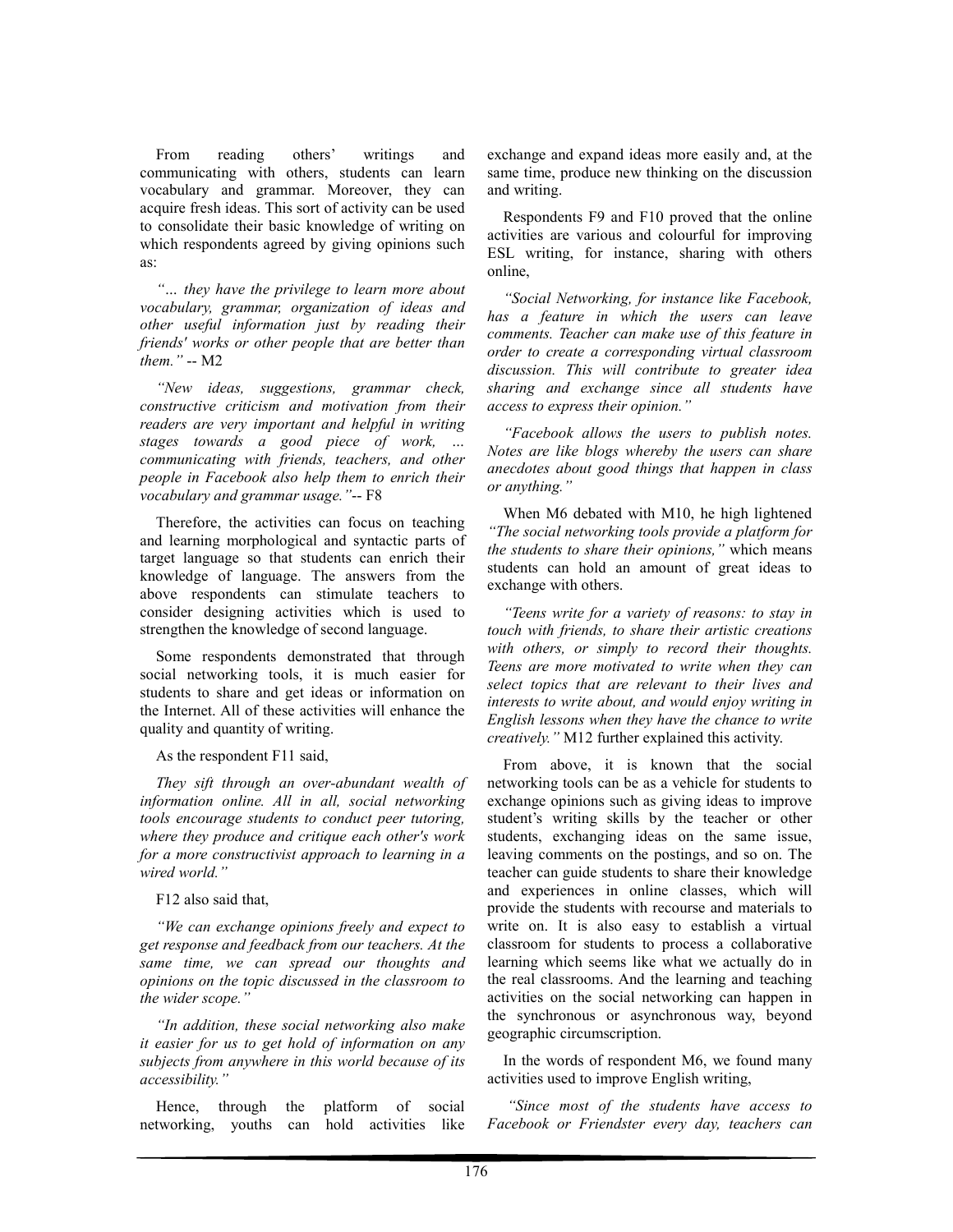From reading others' writings and communicating with others, students can learn vocabulary and grammar. Moreover, they can acquire fresh ideas. This sort of activity can be used to consolidate their basic knowledge of writing on which respondents agreed by giving opinions such as:

*"… they have the privilege to learn more about vocabulary, grammar, organization of ideas and other useful information just by reading their friends' works or other people that are better than them."* -- M2

*"New ideas, suggestions, grammar check, constructive criticism and motivation from their readers are very important and helpful in writing stages towards a good piece of work, … communicating with friends, teachers, and other people in Facebook also help them to enrich their vocabulary and grammar usage."*-- F8

Therefore, the activities can focus on teaching and learning morphological and syntactic parts of target language so that students can enrich their knowledge of language. The answers from the above respondents can stimulate teachers to consider designing activities which is used to strengthen the knowledge of second language.

Some respondents demonstrated that through social networking tools, it is much easier for students to share and get ideas or information on the Internet. All of these activities will enhance the quality and quantity of writing.

As the respondent F11 said,

*They sift through an over-abundant wealth of information online. All in all, social networking tools encourage students to conduct peer tutoring, where they produce and critique each other's work for a more constructivist approach to learning in a wired world."* 

F12 also said that,

*"We can exchange opinions freely and expect to get response and feedback from our teachers. At the same time, we can spread our thoughts and opinions on the topic discussed in the classroom to the wider scope."* 

*"In addition, these social networking also make it easier for us to get hold of information on any subjects from anywhere in this world because of its accessibility."* 

Hence, through the platform of social networking, youths can hold activities like exchange and expand ideas more easily and, at the same time, produce new thinking on the discussion and writing.

Respondents F9 and F10 proved that the online activities are various and colourful for improving ESL writing, for instance, sharing with others online,

*"Social Networking, for instance like Facebook, has a feature in which the users can leave comments. Teacher can make use of this feature in order to create a corresponding virtual classroom discussion. This will contribute to greater idea sharing and exchange since all students have access to express their opinion."* 

*"Facebook allows the users to publish notes. Notes are like blogs whereby the users can share anecdotes about good things that happen in class or anything."* 

When M6 debated with M10, he high lightened *"The social networking tools provide a platform for the students to share their opinions,"* which means students can hold an amount of great ideas to exchange with others.

*"Teens write for a variety of reasons: to stay in touch with friends, to share their artistic creations with others, or simply to record their thoughts. Teens are more motivated to write when they can select topics that are relevant to their lives and interests to write about, and would enjoy writing in English lessons when they have the chance to write creatively."* M12 further explained this activity.

From above, it is known that the social networking tools can be as a vehicle for students to exchange opinions such as giving ideas to improve student's writing skills by the teacher or other students, exchanging ideas on the same issue, leaving comments on the postings, and so on. The teacher can guide students to share their knowledge and experiences in online classes, which will provide the students with recourse and materials to write on. It is also easy to establish a virtual classroom for students to process a collaborative learning which seems like what we actually do in the real classrooms. And the learning and teaching activities on the social networking can happen in the synchronous or asynchronous way, beyond geographic circumscription.

In the words of respondent M6, we found many activities used to improve English writing,

 *"Since most of the students have access to Facebook or Friendster every day, teachers can*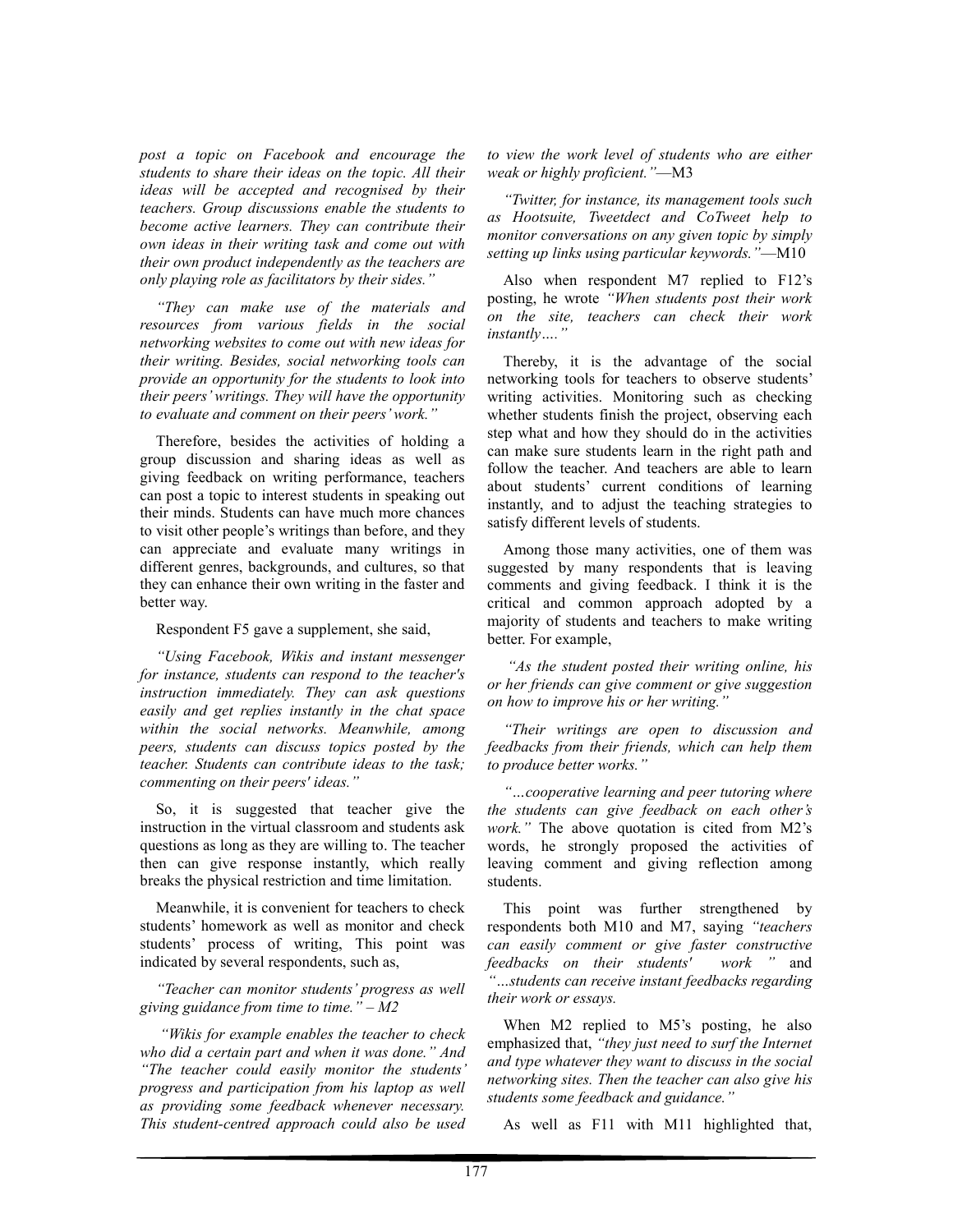*post a topic on Facebook and encourage the students to share their ideas on the topic. All their ideas will be accepted and recognised by their teachers. Group discussions enable the students to become active learners. They can contribute their own ideas in their writing task and come out with their own product independently as the teachers are only playing role as facilitators by their sides."* 

*"They can make use of the materials and resources from various fields in the social networking websites to come out with new ideas for their writing. Besides, social networking tools can provide an opportunity for the students to look into their peers' writings. They will have the opportunity to evaluate and comment on their peers' work."* 

Therefore, besides the activities of holding a group discussion and sharing ideas as well as giving feedback on writing performance, teachers can post a topic to interest students in speaking out their minds. Students can have much more chances to visit other people's writings than before, and they can appreciate and evaluate many writings in different genres, backgrounds, and cultures, so that they can enhance their own writing in the faster and better way.

Respondent F5 gave a supplement, she said,

*"Using Facebook, Wikis and instant messenger for instance, students can respond to the teacher's instruction immediately. They can ask questions easily and get replies instantly in the chat space within the social networks. Meanwhile, among peers, students can discuss topics posted by the teacher. Students can contribute ideas to the task; commenting on their peers' ideas."* 

So, it is suggested that teacher give the instruction in the virtual classroom and students ask questions as long as they are willing to. The teacher then can give response instantly, which really breaks the physical restriction and time limitation.

Meanwhile, it is convenient for teachers to check students' homework as well as monitor and check students' process of writing, This point was indicated by several respondents, such as,

*"Teacher can monitor students' progress as well giving guidance from time to time." – M2* 

 *"Wikis for example enables the teacher to check who did a certain part and when it was done." And "The teacher could easily monitor the students' progress and participation from his laptop as well as providing some feedback whenever necessary. This student-centred approach could also be used*  *to view the work level of students who are either weak or highly proficient."*—M3

*"Twitter, for instance, its management tools such as Hootsuite, Tweetdect and CoTweet help to monitor conversations on any given topic by simply setting up links using particular keywords."*—M10

Also when respondent M7 replied to F12's posting, he wrote *"When students post their work on the site, teachers can check their work instantly…."* 

Thereby, it is the advantage of the social networking tools for teachers to observe students' writing activities. Monitoring such as checking whether students finish the project, observing each step what and how they should do in the activities can make sure students learn in the right path and follow the teacher. And teachers are able to learn about students' current conditions of learning instantly, and to adjust the teaching strategies to satisfy different levels of students.

Among those many activities, one of them was suggested by many respondents that is leaving comments and giving feedback. I think it is the critical and common approach adopted by a majority of students and teachers to make writing better. For example,

 *"As the student posted their writing online, his or her friends can give comment or give suggestion on how to improve his or her writing."* 

*"Their writings are open to discussion and feedbacks from their friends, which can help them to produce better works."* 

*"…cooperative learning and peer tutoring where the students can give feedback on each other's work."* The above quotation is cited from M2's words, he strongly proposed the activities of leaving comment and giving reflection among students.

This point was further strengthened by respondents both M10 and M7, saying *"teachers can easily comment or give faster constructive feedbacks on their students' "…students can receive instant feedbacks regarding their work or essays.* 

When M2 replied to M5's posting, he also emphasized that, *"they just need to surf the Internet and type whatever they want to discuss in the social networking sites. Then the teacher can also give his students some feedback and guidance."*

As well as F11 with M11 highlighted that,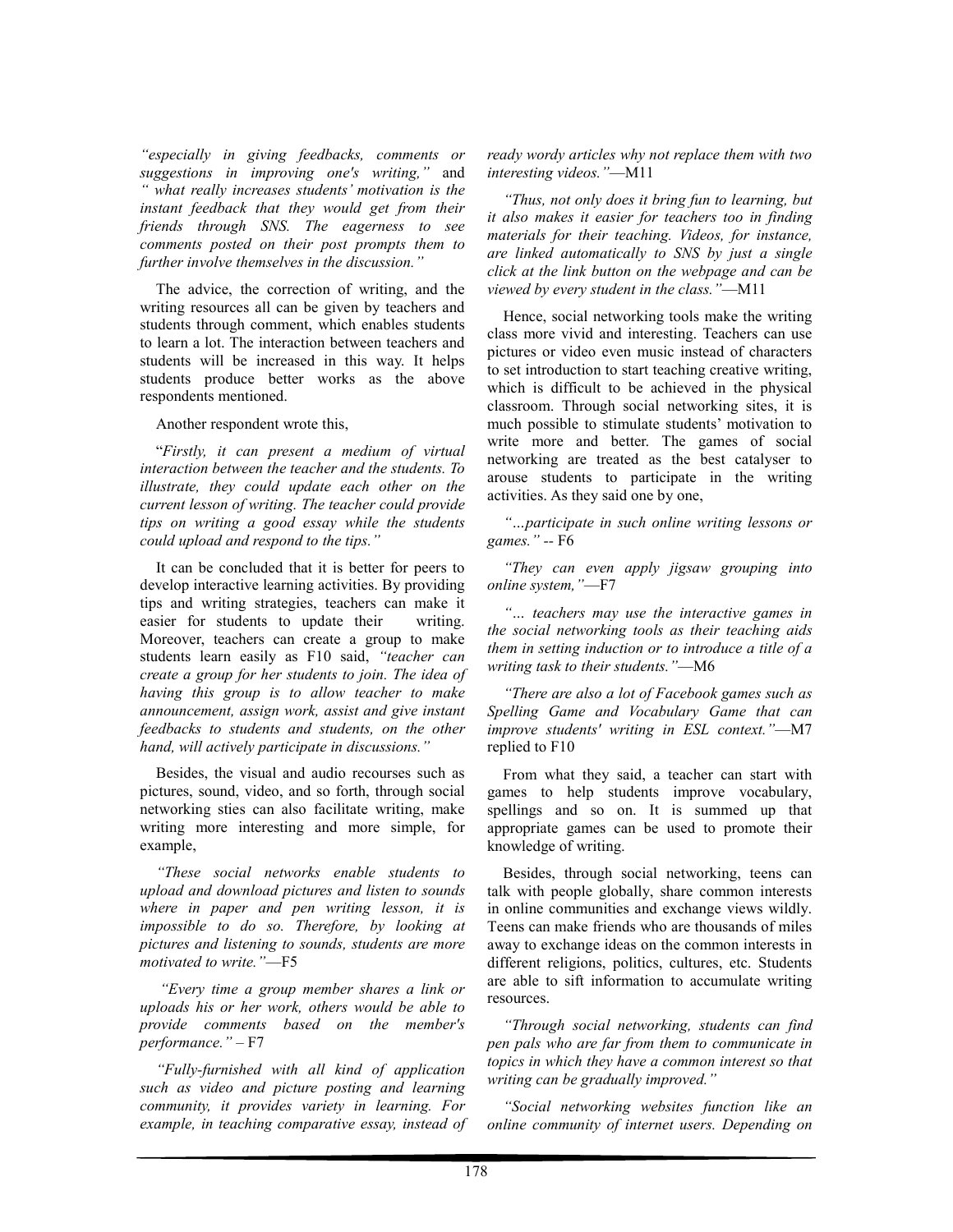*"especially in giving feedbacks, comments or suggestions in improving one's writing,"* and *" what really increases students' motivation is the instant feedback that they would get from their friends through SNS. The eagerness to see comments posted on their post prompts them to further involve themselves in the discussion."* 

The advice, the correction of writing, and the writing resources all can be given by teachers and students through comment, which enables students to learn a lot. The interaction between teachers and students will be increased in this way. It helps students produce better works as the above respondents mentioned.

Another respondent wrote this,

"*Firstly, it can present a medium of virtual interaction between the teacher and the students. To illustrate, they could update each other on the current lesson of writing. The teacher could provide tips on writing a good essay while the students could upload and respond to the tips."* 

It can be concluded that it is better for peers to develop interactive learning activities. By providing tips and writing strategies, teachers can make it easier for students to update their writing. Moreover, teachers can create a group to make students learn easily as F10 said, *"teacher can create a group for her students to join. The idea of having this group is to allow teacher to make announcement, assign work, assist and give instant feedbacks to students and students, on the other hand, will actively participate in discussions."* 

Besides, the visual and audio recourses such as pictures, sound, video, and so forth, through social networking sties can also facilitate writing, make writing more interesting and more simple, for example,

*"These social networks enable students to upload and download pictures and listen to sounds where in paper and pen writing lesson, it is impossible to do so. Therefore, by looking at pictures and listening to sounds, students are more motivated to write."*—F5

 *"Every time a group member shares a link or uploads his or her work, others would be able to provide comments based on the member's performance."* – F7

*"Fully-furnished with all kind of application such as video and picture posting and learning community, it provides variety in learning. For example, in teaching comparative essay, instead of*  *ready wordy articles why not replace them with two interesting videos."*—M11

*"Thus, not only does it bring fun to learning, but it also makes it easier for teachers too in finding materials for their teaching. Videos, for instance, are linked automatically to SNS by just a single click at the link button on the webpage and can be viewed by every student in the class."*—M11

Hence, social networking tools make the writing class more vivid and interesting. Teachers can use pictures or video even music instead of characters to set introduction to start teaching creative writing, which is difficult to be achieved in the physical classroom. Through social networking sites, it is much possible to stimulate students' motivation to write more and better. The games of social networking are treated as the best catalyser to arouse students to participate in the writing activities. As they said one by one,

*"…participate in such online writing lessons or games." --* F6

*"They can even apply jigsaw grouping into online system,"*—F7

*"… teachers may use the interactive games in the social networking tools as their teaching aids them in setting induction or to introduce a title of a writing task to their students."*—M6

*"There are also a lot of Facebook games such as Spelling Game and Vocabulary Game that can improve students' writing in ESL context."*—M7 replied to F10

From what they said, a teacher can start with games to help students improve vocabulary, spellings and so on. It is summed up that appropriate games can be used to promote their knowledge of writing.

Besides, through social networking, teens can talk with people globally, share common interests in online communities and exchange views wildly. Teens can make friends who are thousands of miles away to exchange ideas on the common interests in different religions, politics, cultures, etc. Students are able to sift information to accumulate writing resources.

*"Through social networking, students can find pen pals who are far from them to communicate in topics in which they have a common interest so that writing can be gradually improved."* 

*"Social networking websites function like an online community of internet users. Depending on*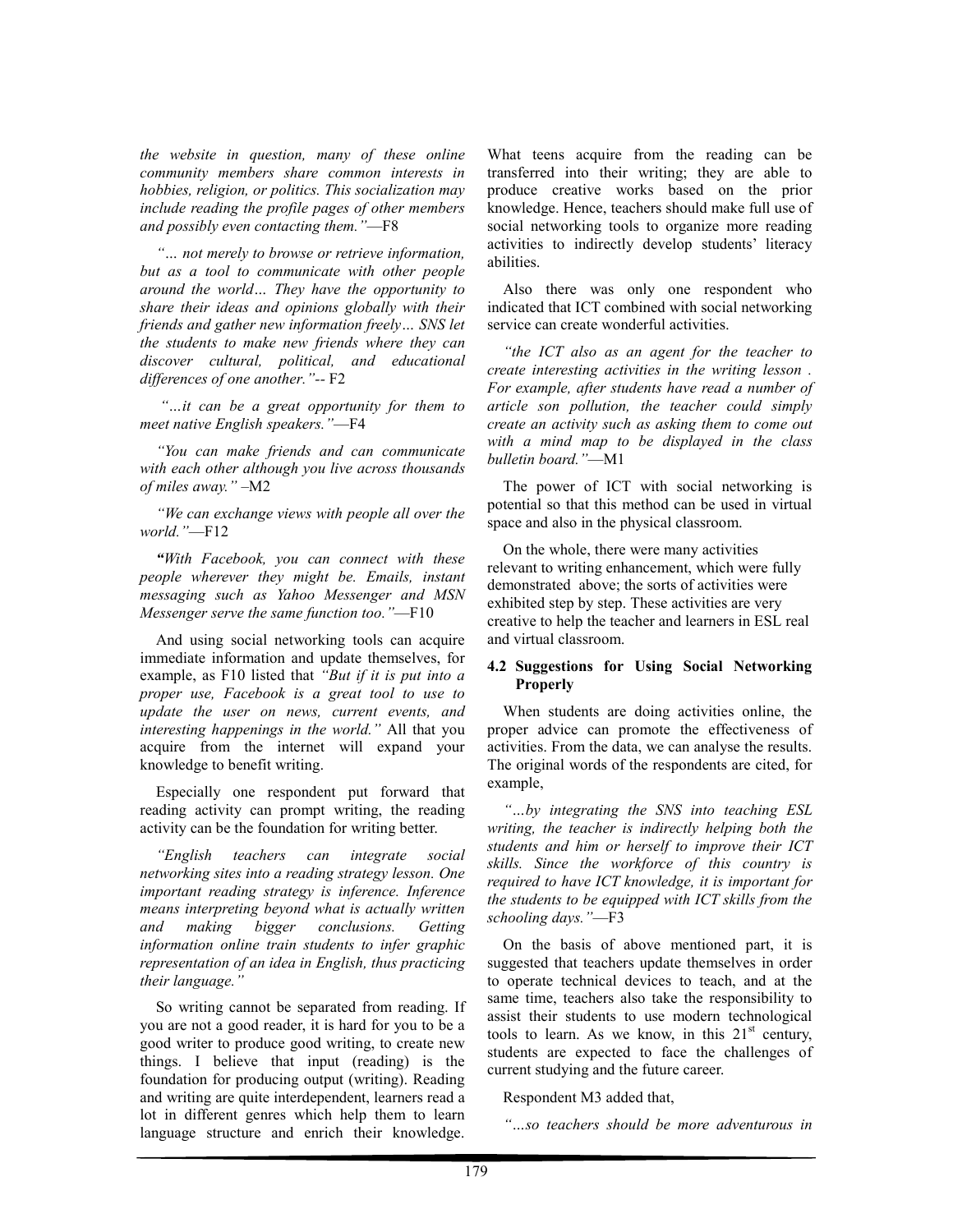*the website in question, many of these online community members share common interests in hobbies, religion, or politics. This socialization may include reading the profile pages of other members and possibly even contacting them."*—F8

*"… not merely to browse or retrieve information, but as a tool to communicate with other people around the world… They have the opportunity to share their ideas and opinions globally with their friends and gather new information freely… SNS let the students to make new friends where they can discover cultural, political, and educational differences of one another."--* F2

 *"…it can be a great opportunity for them to meet native English speakers."*—F4

*"You can make friends and can communicate with each other although you live across thousands of miles away."* –M2

*"We can exchange views with people all over the world."*—F12

*"With Facebook, you can connect with these people wherever they might be. Emails, instant messaging such as Yahoo Messenger and MSN Messenger serve the same function too."*—F10

And using social networking tools can acquire immediate information and update themselves, for example, as F10 listed that *"But if it is put into a proper use, Facebook is a great tool to use to update the user on news, current events, and interesting happenings in the world."* All that you acquire from the internet will expand your knowledge to benefit writing.

Especially one respondent put forward that reading activity can prompt writing, the reading activity can be the foundation for writing better.

*"English teachers can integrate social networking sites into a reading strategy lesson. One important reading strategy is inference. Inference means interpreting beyond what is actually written and making bigger conclusions. Getting information online train students to infer graphic representation of an idea in English, thus practicing their language."* 

So writing cannot be separated from reading. If you are not a good reader, it is hard for you to be a good writer to produce good writing, to create new things. I believe that input (reading) is the foundation for producing output (writing). Reading and writing are quite interdependent, learners read a lot in different genres which help them to learn language structure and enrich their knowledge.

What teens acquire from the reading can be transferred into their writing; they are able to produce creative works based on the prior knowledge. Hence, teachers should make full use of social networking tools to organize more reading activities to indirectly develop students' literacy abilities.

Also there was only one respondent who indicated that ICT combined with social networking service can create wonderful activities.

*"the ICT also as an agent for the teacher to create interesting activities in the writing lesson . For example, after students have read a number of article son pollution, the teacher could simply create an activity such as asking them to come out with a mind map to be displayed in the class bulletin board."*—M1

The power of ICT with social networking is potential so that this method can be used in virtual space and also in the physical classroom.

On the whole, there were many activities relevant to writing enhancement, which were fully demonstrated above; the sorts of activities were exhibited step by step. These activities are very creative to help the teacher and learners in ESL real and virtual classroom.

#### **4.2 Suggestions for Using Social Networking Properly**

When students are doing activities online, the proper advice can promote the effectiveness of activities. From the data, we can analyse the results. The original words of the respondents are cited, for example,

*"…by integrating the SNS into teaching ESL writing, the teacher is indirectly helping both the students and him or herself to improve their ICT skills. Since the workforce of this country is required to have ICT knowledge, it is important for the students to be equipped with ICT skills from the schooling days."*—F3

On the basis of above mentioned part, it is suggested that teachers update themselves in order to operate technical devices to teach, and at the same time, teachers also take the responsibility to assist their students to use modern technological tools to learn. As we know, in this  $21<sup>st</sup>$  century, students are expected to face the challenges of current studying and the future career.

Respondent M3 added that,

*"…so teachers should be more adventurous in*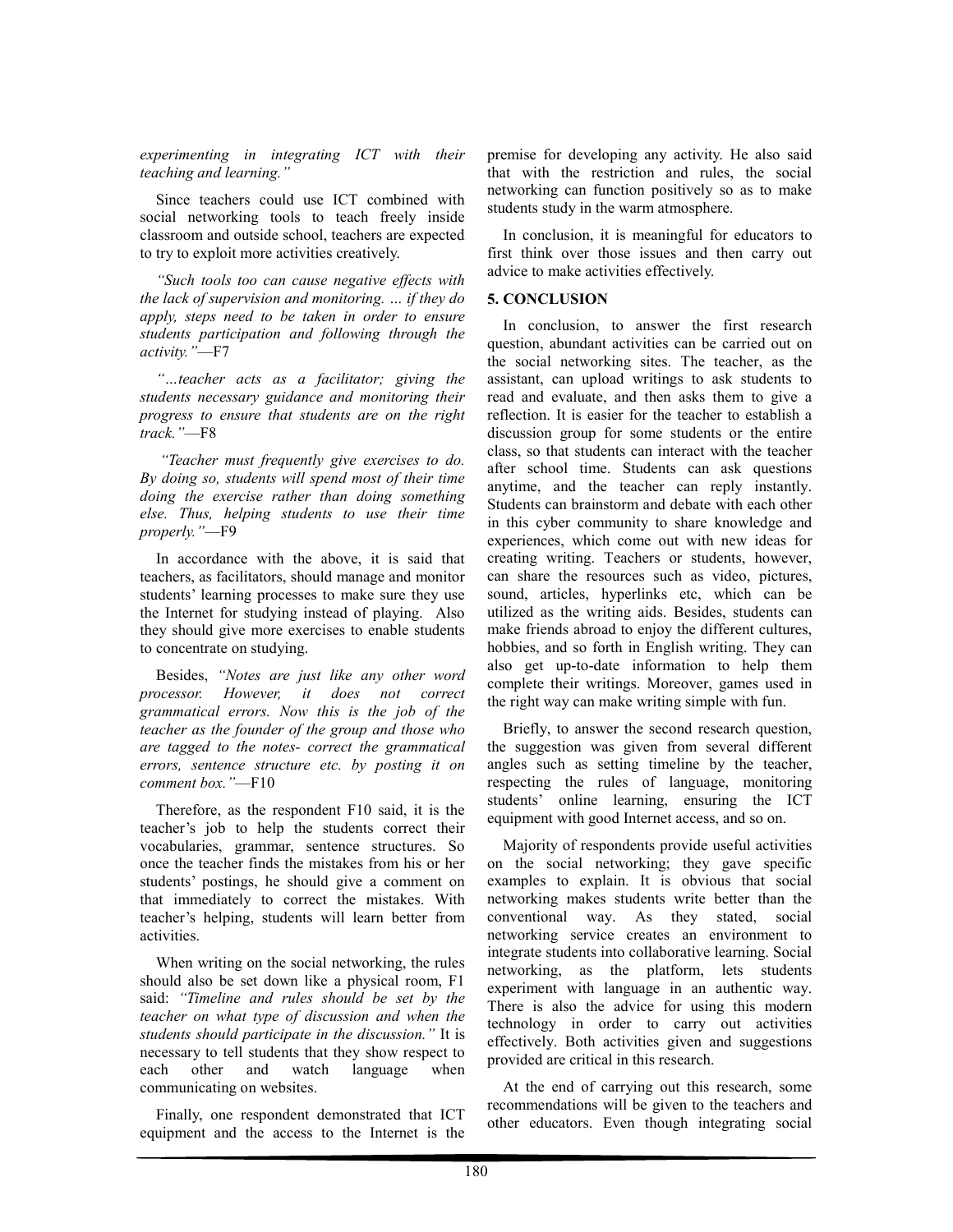*experimenting in integrating ICT with their teaching and learning."* 

Since teachers could use ICT combined with social networking tools to teach freely inside classroom and outside school, teachers are expected to try to exploit more activities creatively.

*"Such tools too can cause negative effects with the lack of supervision and monitoring. … if they do apply, steps need to be taken in order to ensure students participation and following through the activity."*—F7

*"…teacher acts as a facilitator; giving the students necessary guidance and monitoring their progress to ensure that students are on the right track."*—F8

 *"Teacher must frequently give exercises to do. By doing so, students will spend most of their time doing the exercise rather than doing something else. Thus, helping students to use their time properly."*—F9

In accordance with the above, it is said that teachers, as facilitators, should manage and monitor students' learning processes to make sure they use the Internet for studying instead of playing. Also they should give more exercises to enable students to concentrate on studying.

Besides, *"Notes are just like any other word processor. However, it does not correct grammatical errors. Now this is the job of the teacher as the founder of the group and those who are tagged to the notes- correct the grammatical errors, sentence structure etc. by posting it on comment box."*—F10

Therefore, as the respondent F10 said, it is the teacher's job to help the students correct their vocabularies, grammar, sentence structures. So once the teacher finds the mistakes from his or her students' postings, he should give a comment on that immediately to correct the mistakes. With teacher's helping, students will learn better from activities.

When writing on the social networking, the rules should also be set down like a physical room, F1 said: *"Timeline and rules should be set by the teacher on what type of discussion and when the students should participate in the discussion."* It is necessary to tell students that they show respect to<br>each other and watch language when other and watch language when communicating on websites.

Finally, one respondent demonstrated that ICT equipment and the access to the Internet is the premise for developing any activity. He also said that with the restriction and rules, the social networking can function positively so as to make students study in the warm atmosphere.

In conclusion, it is meaningful for educators to first think over those issues and then carry out advice to make activities effectively.

#### **5. CONCLUSION**

In conclusion, to answer the first research question, abundant activities can be carried out on the social networking sites. The teacher, as the assistant, can upload writings to ask students to read and evaluate, and then asks them to give a reflection. It is easier for the teacher to establish a discussion group for some students or the entire class, so that students can interact with the teacher after school time. Students can ask questions anytime, and the teacher can reply instantly. Students can brainstorm and debate with each other in this cyber community to share knowledge and experiences, which come out with new ideas for creating writing. Teachers or students, however, can share the resources such as video, pictures, sound, articles, hyperlinks etc, which can be utilized as the writing aids. Besides, students can make friends abroad to enjoy the different cultures, hobbies, and so forth in English writing. They can also get up-to-date information to help them complete their writings. Moreover, games used in the right way can make writing simple with fun.

Briefly, to answer the second research question, the suggestion was given from several different angles such as setting timeline by the teacher, respecting the rules of language, monitoring students' online learning, ensuring the ICT equipment with good Internet access, and so on.

Majority of respondents provide useful activities on the social networking; they gave specific examples to explain. It is obvious that social networking makes students write better than the conventional way. As they stated, social networking service creates an environment to integrate students into collaborative learning. Social networking, as the platform, lets students experiment with language in an authentic way. There is also the advice for using this modern technology in order to carry out activities effectively. Both activities given and suggestions provided are critical in this research.

At the end of carrying out this research, some recommendations will be given to the teachers and other educators. Even though integrating social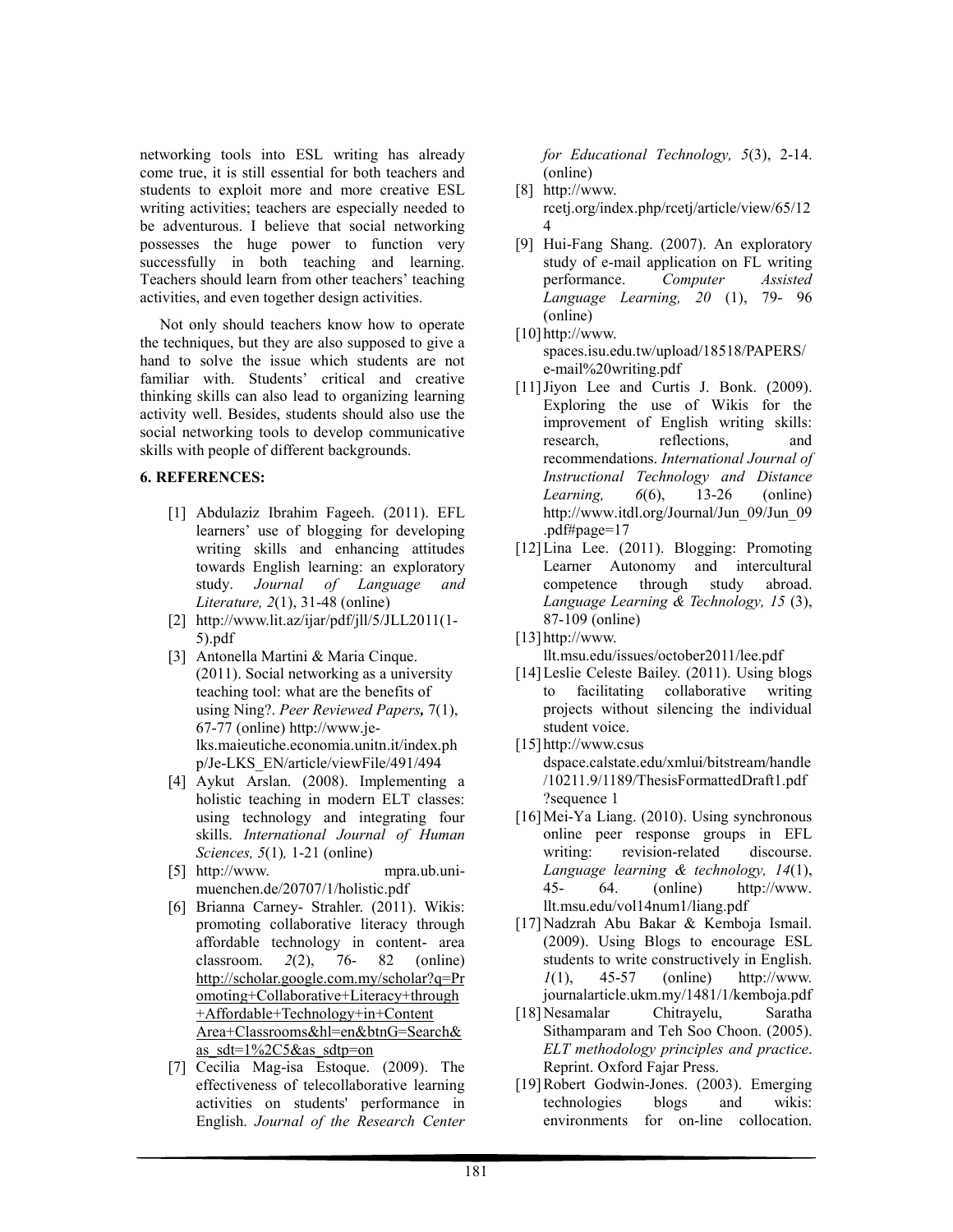networking tools into ESL writing has already come true, it is still essential for both teachers and students to exploit more and more creative ESL writing activities; teachers are especially needed to be adventurous. I believe that social networking possesses the huge power to function very successfully in both teaching and learning. Teachers should learn from other teachers' teaching activities, and even together design activities.

 Not only should teachers know how to operate the techniques, but they are also supposed to give a hand to solve the issue which students are not familiar with. Students' critical and creative thinking skills can also lead to organizing learning activity well. Besides, students should also use the social networking tools to develop communicative skills with people of different backgrounds.

#### **6. REFERENCES:**

- [1] Abdulaziz Ibrahim Fageeh. (2011). EFL learners' use of blogging for developing writing skills and enhancing attitudes towards English learning: an exploratory study. *Journal of Language and Literature, 2*(1), 31-48 (online)
- [2] http://www.lit.az/ijar/pdf/jll/5/JLL2011(1- 5).pdf
- [3] Antonella Martini & Maria Cinque. (2011). Social networking as a university teaching tool: what are the benefits of using Ning?. *Peer Reviewed Papers,* 7(1), 67-77 (online) http://www.jelks.maieutiche.economia.unitn.it/index.ph p/Je-LKS\_EN/article/viewFile/491/494
- [4] Aykut Arslan. (2008). Implementing a holistic teaching in modern ELT classes: using technology and integrating four skills. *International Journal of Human Sciences, 5*(1)*,* 1-21 (online)
- [5] http://www. mpra.ub.unimuenchen.de/20707/1/holistic.pdf
- [6] Brianna Carney- Strahler. (2011). Wikis: promoting collaborative literacy through affordable technology in content- area classroom. *2*(2), 76- 82 (online) http://scholar.google.com.my/scholar?q=Pr omoting+Collaborative+Literacy+through +Affordable+Technology+in+Content Area+Classrooms&hl=en&btnG=Search& as\_sdt=1%2C5&as\_sdtp=on
- [7] Cecilia Mag-isa Estoque. (2009). The effectiveness of telecollaborative learning activities on students' performance in English. *Journal of the Research Center*

*for Educational Technology, 5*(3), 2-14. (online)

- [8] http://www. rcetj.org/index.php/rcetj/article/view/65/12 4
- [9] Hui-Fang Shang. (2007). An exploratory study of e-mail application on FL writing performance. *Computer Assisted Language Learning, 20* (1), 79- 96 (online)
- [10] http://www. spaces.isu.edu.tw/upload/18518/PAPERS/ e-mail%20writing.pdf
- [11] Jiyon Lee and Curtis J. Bonk. (2009). Exploring the use of Wikis for the improvement of English writing skills: research, reflections, and recommendations. *International Journal of Instructional Technology and Distance Learning, 6*(6), 13-26 (online) http://www.itdl.org/Journal/Jun\_09/Jun\_09 .pdf#page=17
- [12] Lina Lee. (2011). Blogging: Promoting Learner Autonomy and intercultural competence through study abroad. *Language Learning & Technology, 15* (3), 87-109 (online)
- [13] http://www. llt.msu.edu/issues/october2011/lee.pdf
- [14] Leslie Celeste Bailey. (2011). Using blogs to facilitating collaborative writing projects without silencing the individual student voice.
- [15] http://www.csus dspace.calstate.edu/xmlui/bitstream/handle /10211.9/1189/ThesisFormattedDraft1.pdf ?sequence 1
- [16] Mei-Ya Liang. (2010). Using synchronous online peer response groups in EFL writing: revision-related discourse. *Language learning & technology, 14*(1), 45- 64. (online) http://www. llt.msu.edu/vol14num1/liang.pdf
- [17]Nadzrah Abu Bakar & Kemboja Ismail. (2009). Using Blogs to encourage ESL students to write constructively in English. *1*(1), 45-57 (online) http://www. journalarticle.ukm.my/1481/1/kemboja.pdf
- [18]Nesamalar Chitrayelu, Saratha Sithamparam and Teh Soo Choon. (2005). *ELT methodology principles and practice*. Reprint. Oxford Fajar Press.
- [19]Robert Godwin-Jones. (2003). Emerging<br>technologies blogs and wikis: technologies environments for on-line collocation.